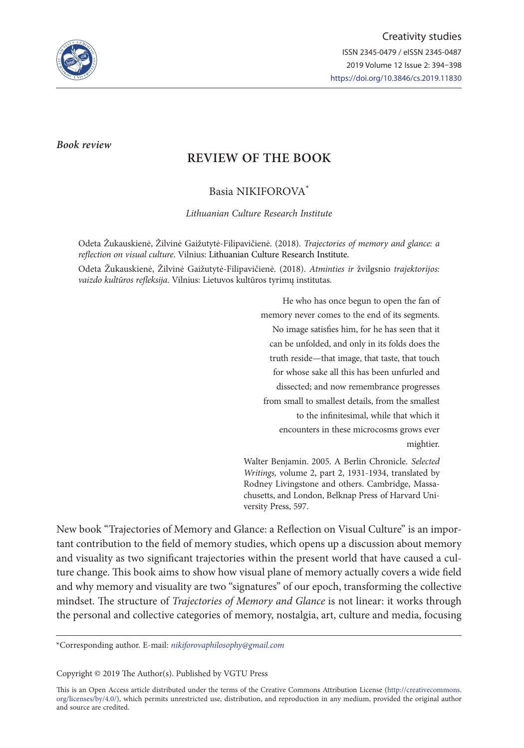

*Book review*

# **REVIEW OF THE BOOK**

Basia NIKIFOROVA\*

*Lithuanian Culture Research Institute*

Odeta Žukauskienė, Žilvinė Gaižutytė-Filipavičienė. (2018). *Trajectories of memory and glance: a reflection on visual culture*. Vilnius: Lithuanian Culture Research Institute.

Odeta Žukauskienė, Žilvinė Gaižutytė-Filipavičienė. (2018). *Atminties ir* žvilgsnio *trajektorijos: vaizdo kultūros refleksija*. Vilnius: Lietuvos kultūros tyrimų institutas.

> He who has once begun to open the fan of memory never comes to the end of its segments. No image satisfies him, for he has seen that it can be unfolded, and only in its folds does the truth reside—that image, that taste, that touch for whose sake all this has been unfurled and dissected; and now remembrance progresses from small to smallest details, from the smallest to the infinitesimal, while that which it encounters in these microcosms grows ever mightier.

Walter Benjamin. 2005. A Berlin Chronicle. *Selected Writings,* volume 2, part 2, 1931-1934, translated by Rodney Livingstone and others. Cambridge, Massachusetts, and London, Belknap Press of Harvard University Press, 597.

New book "Trajectories of Memory and Glance: a Reflection on Visual Culture" is an important contribution to the field of memory studies, which opens up a discussion about memory and visuality as two significant trajectories within the present world that have caused a culture change. This book aims to show how visual plane of memory actually covers a wide field and why memory and visuality are two "signatures" of our epoch, transforming the collective mindset. The structure of *Trajectories of Memory and Glance* is not linear: it works through the personal and collective categories of memory, nostalgia, art, culture and media, focusing

\*Corresponding author. E-mail: *nikiforovaphilosophy@gmail.com*

Copyright © 2019 The Author(s). Published by VGTU Press

This is an Open Access article distributed under the terms of the Creative Commons Attribution License (http://creativecommons. org/licenses/by/4.0/), which permits unrestricted use, distribution, and reproduction in any medium, provided the original author and source are credited.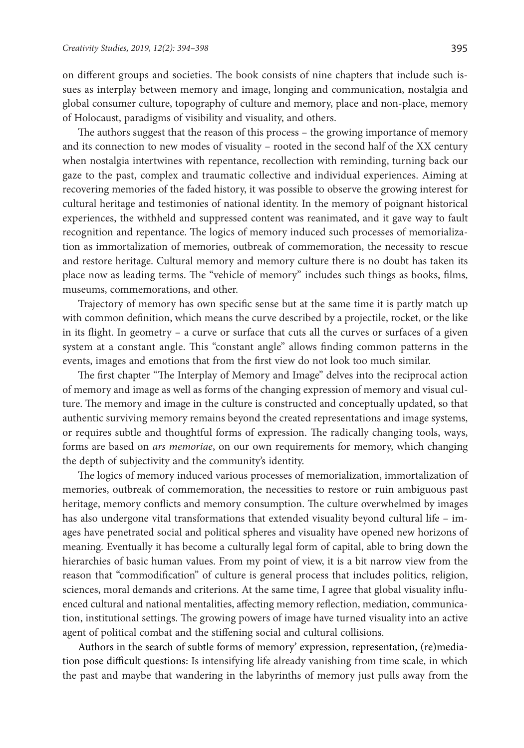on different groups and societies. The book consists of nine chapters that include such issues as interplay between memory and image, longing and communication, nostalgia and global consumer culture, topography of culture and memory, place and non-place, memory of Holocaust, paradigms of visibility and visuality, and others.

The authors suggest that the reason of this process – the growing importance of memory and its connection to new modes of visuality – rooted in the second half of the XX century when nostalgia intertwines with repentance, recollection with reminding, turning back our gaze to the past, complex and traumatic collective and individual experiences. Aiming at recovering memories of the faded history, it was possible to observe the growing interest for cultural heritage and testimonies of national identity. In the memory of poignant historical experiences, the withheld and suppressed content was reanimated, and it gave way to fault recognition and repentance. The logics of memory induced such processes of memorialization as immortalization of memories, outbreak of commemoration, the necessity to rescue and restore heritage. Cultural memory and memory culture there is no doubt has taken its place now as leading terms. The "vehicle of memory" includes such things as books, films, museums, commemorations, and other.

Trajectory of memory has own specific sense but at the same time it is partly match up with common definition, which means the curve described by a projectile, rocket, or the like in its flight. In geometry – a curve or surface that cuts all the curves or surfaces of a given system at a constant angle. This "constant angle" allows finding common patterns in the events, images and emotions that from the first view do not look too much similar.

The first chapter "The Interplay of Memory and Image" delves into the reciprocal action of memory and image as well as forms of the changing expression of memory and visual culture. The memory and image in the culture is constructed and conceptually updated, so that authentic surviving memory remains beyond the created representations and image systems, or requires subtle and thoughtful forms of expression. The radically changing tools, ways, forms are based on *ars memoriae*, on our own requirements for memory, which changing the depth of subjectivity and the community's identity.

The logics of memory induced various processes of memorialization, immortalization of memories, outbreak of commemoration, the necessities to restore or ruin ambiguous past heritage, memory conflicts and memory consumption. The culture overwhelmed by images has also undergone vital transformations that extended visuality beyond cultural life – images have penetrated social and political spheres and visuality have opened new horizons of meaning. Eventually it has become a culturally legal form of capital, able to bring down the hierarchies of basic human values. From my point of view, it is a bit narrow view from the reason that "commodification" of culture is general process that includes politics, religion, sciences, moral demands and criterions. At the same time, I agree that global visuality influenced cultural and national mentalities, affecting memory reflection, mediation, communication, institutional settings. The growing powers of image have turned visuality into an active agent of political combat and the stiffening social and cultural collisions.

Authors in the search of subtle forms of memory' expression, representation, (re)mediation pose difficult questions: Is intensifying life already vanishing from time scale, in which the past and maybe that wandering in the labyrinths of memory just pulls away from the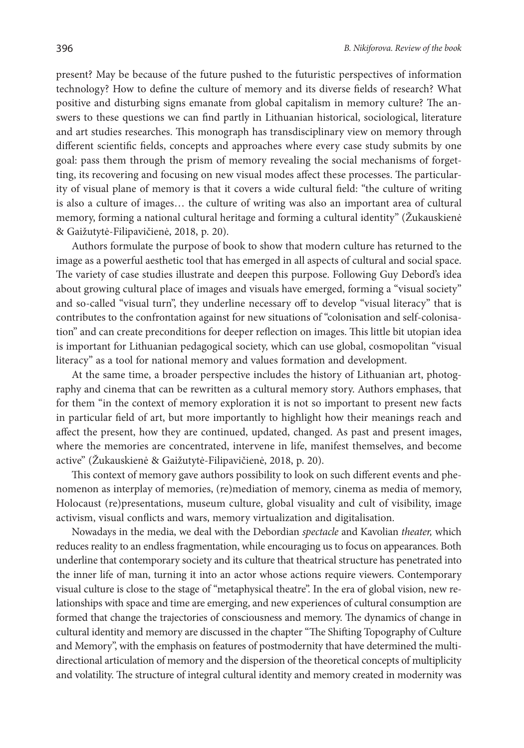present? May be because of the future pushed to the futuristic perspectives of information technology? How to define the culture of memory and its diverse fields of research? What positive and disturbing signs emanate from global capitalism in memory culture? The answers to these questions we can find partly in Lithuanian historical, sociological, literature and art studies researches. This monograph has transdisciplinary view on memory through different scientific fields, concepts and approaches where every case study submits by one goal: pass them through the prism of memory revealing the social mechanisms of forgetting, its recovering and focusing on new visual modes affect these processes. The particularity of visual plane of memory is that it covers a wide cultural field: "the culture of writing is also a culture of images… the culture of writing was also an important area of cultural memory, forming a national cultural heritage and forming a cultural identity" (Žukauskienė & Gaižutytė-Filipavičienė, 2018, p. 20).

Authors formulate the purpose of book to show that modern culture has returned to the image as a powerful aesthetic tool that has emerged in all aspects of cultural and social space. The variety of case studies illustrate and deepen this purpose. Following Guy Debord's idea about growing cultural place of images and visuals have emerged, forming a "visual society" and so-called "visual turn", they underline necessary off to develop "visual literacy" that is contributes to the confrontation against for new situations of "colonisation and self-colonisation" and can create preconditions for deeper reflection on images. This little bit utopian idea is important for Lithuanian pedagogical society, which can use global, cosmopolitan "visual literacy" as a tool for national memory and values formation and development.

At the same time, a broader perspective includes the history of Lithuanian art, photography and cinema that can be rewritten as a cultural memory story. Authors emphases, that for them "in the context of memory exploration it is not so important to present new facts in particular field of art, but more importantly to highlight how their meanings reach and affect the present, how they are continued, updated, changed. As past and present images, where the memories are concentrated, intervene in life, manifest themselves, and become active" (Žukauskienė & Gaižutytė-Filipavičienė, 2018, p. 20).

This context of memory gave authors possibility to look on such different events and phenomenon as interplay of memories, (re)mediation of memory, cinema as media of memory, Holocaust (re)presentations, museum culture, global visuality and cult of visibility, image activism, visual conflicts and wars, memory virtualization and digitalisation.

Nowadays in the media, we deal with the Debordian *spectacle* and Kavolian *theater,* which reduces reality to an endless fragmentation, while encouraging us to focus on appearances. Both underline that contemporary society and its culture that theatrical structure has penetrated into the inner life of man, turning it into an actor whose actions require viewers. Contemporary visual culture is close to the stage of "metaphysical theatre". In the era of global vision, new relationships with space and time are emerging, and new experiences of cultural consumption are formed that change the trajectories of consciousness and memory. The dynamics of change in cultural identity and memory are discussed in the chapter "The Shifting Topography of Culture and Memory", with the emphasis on features of postmodernity that have determined the multidirectional articulation of memory and the dispersion of the theoretical concepts of multiplicity and volatility. The structure of integral cultural identity and memory created in modernity was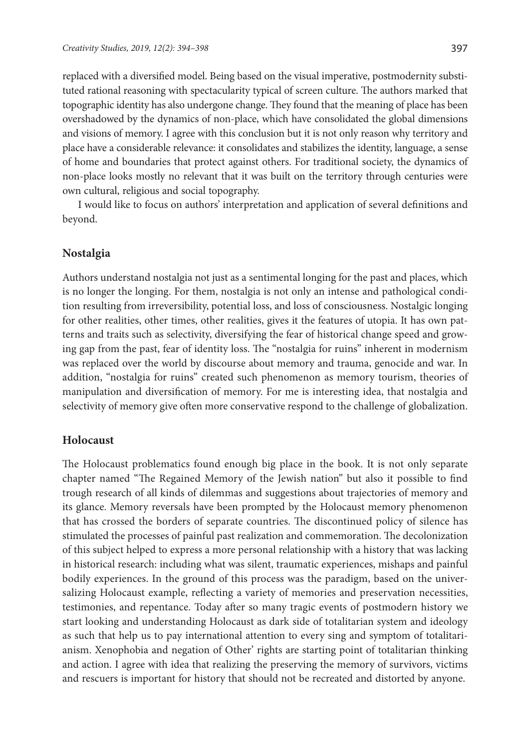replaced with a diversified model. Being based on the visual imperative, postmodernity substituted rational reasoning with spectacularity typical of screen culture. The authors marked that topographic identity has also undergone change. They found that the meaning of place has been overshadowed by the dynamics of non-place, which have consolidated the global dimensions and visions of memory. I agree with this conclusion but it is not only reason why territory and place have a considerable relevance: it consolidates and stabilizes the identity, language, a sense of home and boundaries that protect against others. For traditional society, the dynamics of non-place looks mostly no relevant that it was built on the territory through centuries were own cultural, religious and social topography.

I would like to focus on authors' interpretation and application of several definitions and beyond.

#### **Nostalgia**

Authors understand nostalgia not just as a sentimental longing for the past and places, which is no longer the longing. For them, nostalgia is not only an intense and pathological condition resulting from irreversibility, potential loss, and loss of consciousness. Nostalgic longing for other realities, other times, other realities, gives it the features of utopia. It has own patterns and traits such as selectivity, diversifying the fear of historical change speed and growing gap from the past, fear of identity loss. The "nostalgia for ruins" inherent in modernism was replaced over the world by discourse about memory and trauma, genocide and war. In addition, "nostalgia for ruins" created such phenomenon as memory tourism, theories of manipulation and diversification of memory. For me is interesting idea, that nostalgia and selectivity of memory give often more conservative respond to the challenge of globalization.

## **Holocaust**

The Holocaust problematics found enough big place in the book. It is not only separate chapter named "The Regained Memory of the Jewish nation" but also it possible to find trough research of all kinds of dilemmas and suggestions about trajectories of memory and its glance. Memory reversals have been prompted by the Holocaust memory phenomenon that has crossed the borders of separate countries. The discontinued policy of silence has stimulated the processes of painful past realization and commemoration. The decolonization of this subject helped to express a more personal relationship with a history that was lacking in historical research: including what was silent, traumatic experiences, mishaps and painful bodily experiences. In the ground of this process was the paradigm, based on the universalizing Holocaust example, reflecting a variety of memories and preservation necessities, testimonies, and repentance. Today after so many tragic events of postmodern history we start looking and understanding Holocaust as dark side of totalitarian system and ideology as such that help us to pay international attention to every sing and symptom of totalitarianism. Xenophobia and negation of Other' rights are starting point of totalitarian thinking and action. I agree with idea that realizing the preserving the memory of survivors, victims and rescuers is important for history that should not be recreated and distorted by anyone.